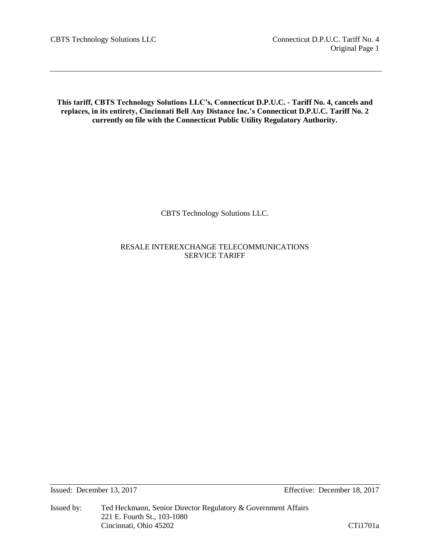**This tariff, CBTS Technology Solutions LLC's, Connecticut D.P.U.C. - Tariff No. 4, cancels and replaces, in its entirety, Cincinnati Bell Any Distance Inc.'s Connecticut D.P.U.C. Tariff No. 2 currently on file with the Connecticut Public Utility Regulatory Authority.**

CBTS Technology Solutions LLC.

RESALE INTEREXCHANGE TELECOMMUNICATIONS SERVICE TARIFF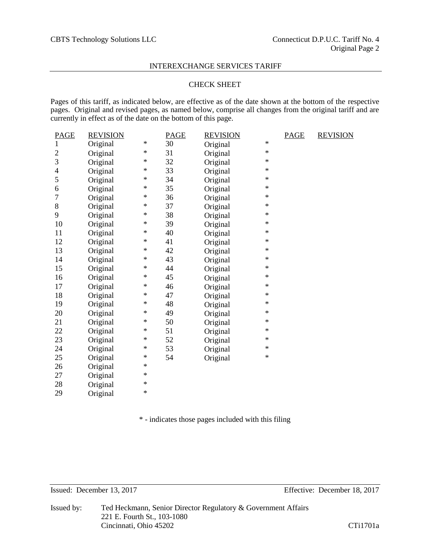# CHECK SHEET

Pages of this tariff, as indicated below, are effective as of the date shown at the bottom of the respective pages. Original and revised pages, as named below, comprise all changes from the original tariff and are currently in effect as of the date on the bottom of this page.

| <b>REVISION</b> |                                                                                  | <b>PAGE</b> | <b>REVISION</b> |                                                                                                                                                                      | <b>PAGE</b> | <b>REVISION</b> |
|-----------------|----------------------------------------------------------------------------------|-------------|-----------------|----------------------------------------------------------------------------------------------------------------------------------------------------------------------|-------------|-----------------|
| Original        | $\ast$                                                                           | 30          | Original        | ∗                                                                                                                                                                    |             |                 |
| Original        | $\ast$                                                                           | 31          | Original        | $\ast$                                                                                                                                                               |             |                 |
| Original        | ∗                                                                                | 32          | Original        | ∗                                                                                                                                                                    |             |                 |
| Original        | ∗                                                                                | 33          | Original        | $\ast$                                                                                                                                                               |             |                 |
| Original        | $\ast$                                                                           | 34          | Original        | $\ast$                                                                                                                                                               |             |                 |
|                 | $\ast$                                                                           | 35          |                 | $\ast$                                                                                                                                                               |             |                 |
| Original        | $\ast$                                                                           | 36          | Original        | $\ast$                                                                                                                                                               |             |                 |
| Original        | *                                                                                | 37          | Original        | $\ast$                                                                                                                                                               |             |                 |
| Original        | ∗                                                                                | 38          | Original        | $\ast$                                                                                                                                                               |             |                 |
| Original        | ∗                                                                                | 39          |                 | $\ast$                                                                                                                                                               |             |                 |
| Original        | ∗                                                                                | 40          |                 | $\ast$                                                                                                                                                               |             |                 |
| Original        | ∗                                                                                | 41          |                 | $\ast$                                                                                                                                                               |             |                 |
| Original        | $\ast$                                                                           | 42          |                 | $\ast$                                                                                                                                                               |             |                 |
| Original        | $\ast$                                                                           | 43          |                 | $\ast$                                                                                                                                                               |             |                 |
| Original        | $\ast$                                                                           | 44          | Original        | $\ast$                                                                                                                                                               |             |                 |
| Original        | ∗                                                                                | 45          | Original        | $\ast$                                                                                                                                                               |             |                 |
| Original        | ∗                                                                                | 46          | Original        | $\ast$                                                                                                                                                               |             |                 |
|                 | ∗                                                                                | 47          |                 | $\ast$                                                                                                                                                               |             |                 |
|                 | ∗                                                                                | 48          |                 | $\ast$                                                                                                                                                               |             |                 |
| Original        | $\ast$                                                                           | 49          |                 | $\ast$                                                                                                                                                               |             |                 |
| Original        | $\ast$                                                                           | 50          |                 | $\ast$                                                                                                                                                               |             |                 |
| Original        | $\ast$                                                                           | 51          |                 | $\ast$                                                                                                                                                               |             |                 |
| Original        | *                                                                                | 52          |                 | $\ast$                                                                                                                                                               |             |                 |
|                 | ∗                                                                                | 53          |                 | $\ast$                                                                                                                                                               |             |                 |
| Original        | ∗                                                                                | 54          |                 | $\ast$                                                                                                                                                               |             |                 |
|                 | *                                                                                |             |                 |                                                                                                                                                                      |             |                 |
|                 | ∗                                                                                |             |                 |                                                                                                                                                                      |             |                 |
|                 | $\ast$                                                                           |             |                 |                                                                                                                                                                      |             |                 |
| Original        | $\ast$                                                                           |             |                 |                                                                                                                                                                      |             |                 |
|                 | Original<br>Original<br>Original<br>Original<br>Original<br>Original<br>Original |             |                 | Original<br>Original<br>Original<br>Original<br>Original<br>Original<br>Original<br>Original<br>Original<br>Original<br>Original<br>Original<br>Original<br>Original |             |                 |

\* - indicates those pages included with this filing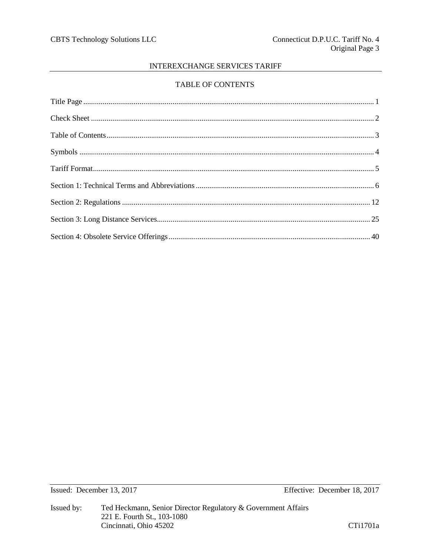# TABLE OF CONTENTS

Issued: December 13, 2017

Effective: December 18, 2017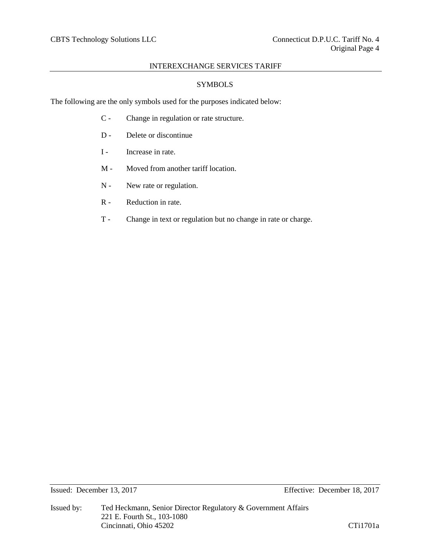# SYMBOLS

The following are the only symbols used for the purposes indicated below:

- C Change in regulation or rate structure.
- D Delete or discontinue
- I Increase in rate.
- M Moved from another tariff location.
- N New rate or regulation.
- R Reduction in rate.
- T Change in text or regulation but no change in rate or charge.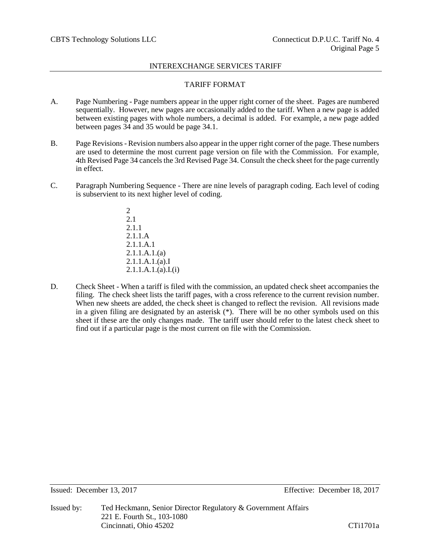# TARIFF FORMAT

- A. Page Numbering Page numbers appear in the upper right corner of the sheet. Pages are numbered sequentially. However, new pages are occasionally added to the tariff. When a new page is added between existing pages with whole numbers, a decimal is added. For example, a new page added between pages 34 and 35 would be page 34.1.
- B. Page Revisions- Revision numbers also appear in the upper right corner of the page. These numbers are used to determine the most current page version on file with the Commission. For example, 4th Revised Page 34 cancels the 3rd Revised Page 34. Consult the check sheet for the page currently in effect.
- C. Paragraph Numbering Sequence There are nine levels of paragraph coding. Each level of coding is subservient to its next higher level of coding.
	- 2 2.1 2.1.1 2.1.1.A 2.1.1.A.1 2.1.1.A.1.(a) 2.1.1.A.1.(a).I 2.1.1.A.1.(a).I.(i)
- D. Check Sheet When a tariff is filed with the commission, an updated check sheet accompanies the filing. The check sheet lists the tariff pages, with a cross reference to the current revision number. When new sheets are added, the check sheet is changed to reflect the revision. All revisions made in a given filing are designated by an asterisk (\*). There will be no other symbols used on this sheet if these are the only changes made. The tariff user should refer to the latest check sheet to find out if a particular page is the most current on file with the Commission.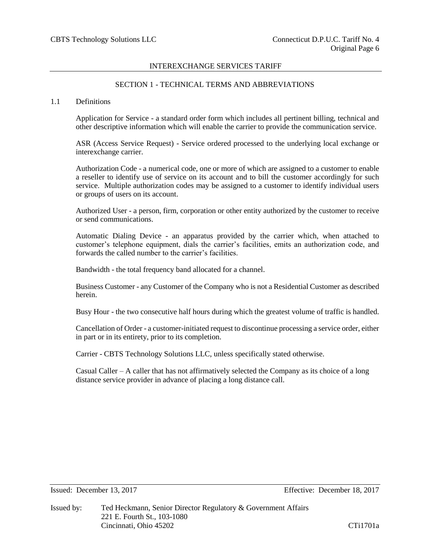# SECTION 1 - TECHNICAL TERMS AND ABBREVIATIONS

#### 1.1 Definitions

Application for Service - a standard order form which includes all pertinent billing, technical and other descriptive information which will enable the carrier to provide the communication service.

ASR (Access Service Request) - Service ordered processed to the underlying local exchange or interexchange carrier.

Authorization Code - a numerical code, one or more of which are assigned to a customer to enable a reseller to identify use of service on its account and to bill the customer accordingly for such service. Multiple authorization codes may be assigned to a customer to identify individual users or groups of users on its account.

Authorized User - a person, firm, corporation or other entity authorized by the customer to receive or send communications.

Automatic Dialing Device - an apparatus provided by the carrier which, when attached to customer's telephone equipment, dials the carrier's facilities, emits an authorization code, and forwards the called number to the carrier's facilities.

Bandwidth - the total frequency band allocated for a channel.

Business Customer - any Customer of the Company who is not a Residential Customer as described herein.

Busy Hour - the two consecutive half hours during which the greatest volume of traffic is handled.

Cancellation of Order - a customer-initiated request to discontinue processing a service order, either in part or in its entirety, prior to its completion.

Carrier - CBTS Technology Solutions LLC, unless specifically stated otherwise.

Casual Caller  $-A$  caller that has not affirmatively selected the Company as its choice of a long distance service provider in advance of placing a long distance call.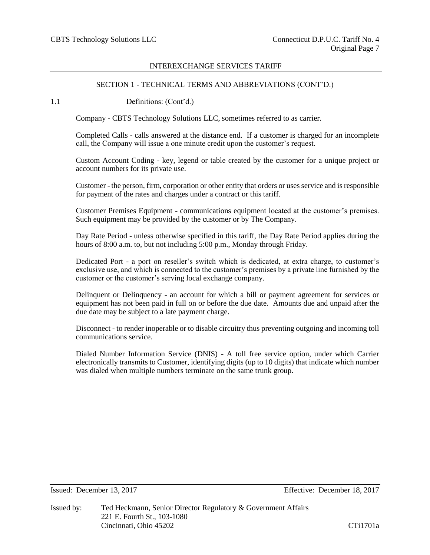# SECTION 1 - TECHNICAL TERMS AND ABBREVIATIONS (CONT'D.)

1.1 Definitions: (Cont'd.)

Company - CBTS Technology Solutions LLC, sometimes referred to as carrier.

Completed Calls - calls answered at the distance end. If a customer is charged for an incomplete call, the Company will issue a one minute credit upon the customer's request.

Custom Account Coding - key, legend or table created by the customer for a unique project or account numbers for its private use.

Customer - the person, firm, corporation or other entity that orders or uses service and is responsible for payment of the rates and charges under a contract or this tariff.

Customer Premises Equipment - communications equipment located at the customer's premises. Such equipment may be provided by the customer or by The Company.

Day Rate Period - unless otherwise specified in this tariff, the Day Rate Period applies during the hours of 8:00 a.m. to, but not including 5:00 p.m., Monday through Friday.

Dedicated Port - a port on reseller's switch which is dedicated, at extra charge, to customer's exclusive use, and which is connected to the customer's premises by a private line furnished by the customer or the customer's serving local exchange company.

Delinquent or Delinquency - an account for which a bill or payment agreement for services or equipment has not been paid in full on or before the due date. Amounts due and unpaid after the due date may be subject to a late payment charge.

Disconnect - to render inoperable or to disable circuitry thus preventing outgoing and incoming toll communications service.

Dialed Number Information Service (DNIS) - A toll free service option, under which Carrier electronically transmits to Customer, identifying digits (up to 10 digits) that indicate which number was dialed when multiple numbers terminate on the same trunk group.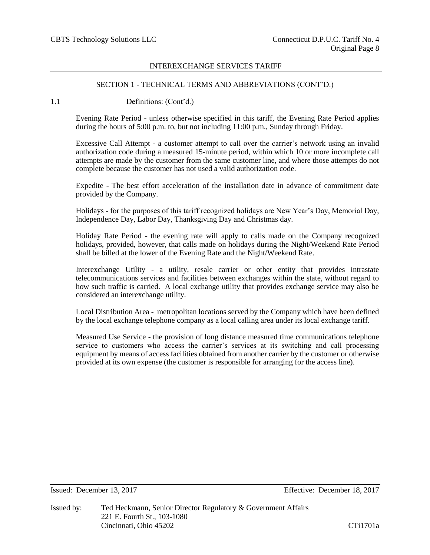## SECTION 1 - TECHNICAL TERMS AND ABBREVIATIONS (CONT'D.)

1.1 Definitions: (Cont'd.)

Evening Rate Period - unless otherwise specified in this tariff, the Evening Rate Period applies during the hours of 5:00 p.m. to, but not including 11:00 p.m., Sunday through Friday.

Excessive Call Attempt - a customer attempt to call over the carrier's network using an invalid authorization code during a measured 15-minute period, within which 10 or more incomplete call attempts are made by the customer from the same customer line, and where those attempts do not complete because the customer has not used a valid authorization code.

Expedite - The best effort acceleration of the installation date in advance of commitment date provided by the Company.

Holidays - for the purposes of this tariff recognized holidays are New Year's Day, Memorial Day, Independence Day, Labor Day, Thanksgiving Day and Christmas day.

Holiday Rate Period - the evening rate will apply to calls made on the Company recognized holidays, provided, however, that calls made on holidays during the Night/Weekend Rate Period shall be billed at the lower of the Evening Rate and the Night/Weekend Rate.

Interexchange Utility - a utility, resale carrier or other entity that provides intrastate telecommunications services and facilities between exchanges within the state, without regard to how such traffic is carried. A local exchange utility that provides exchange service may also be considered an interexchange utility.

Local Distribution Area - metropolitan locations served by the Company which have been defined by the local exchange telephone company as a local calling area under its local exchange tariff.

Measured Use Service - the provision of long distance measured time communications telephone service to customers who access the carrier's services at its switching and call processing equipment by means of access facilities obtained from another carrier by the customer or otherwise provided at its own expense (the customer is responsible for arranging for the access line).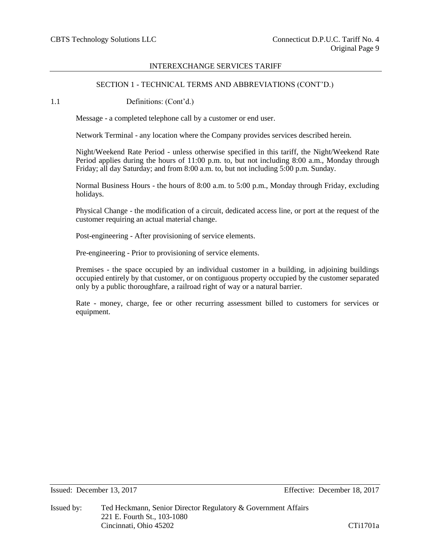# SECTION 1 - TECHNICAL TERMS AND ABBREVIATIONS (CONT'D.)

1.1 Definitions: (Cont'd.)

Message - a completed telephone call by a customer or end user.

Network Terminal - any location where the Company provides services described herein.

Night/Weekend Rate Period - unless otherwise specified in this tariff, the Night/Weekend Rate Period applies during the hours of 11:00 p.m. to, but not including 8:00 a.m., Monday through Friday; all day Saturday; and from 8:00 a.m. to, but not including 5:00 p.m. Sunday.

Normal Business Hours - the hours of 8:00 a.m. to 5:00 p.m., Monday through Friday, excluding holidays.

Physical Change - the modification of a circuit, dedicated access line, or port at the request of the customer requiring an actual material change.

Post-engineering - After provisioning of service elements.

Pre-engineering - Prior to provisioning of service elements.

Premises - the space occupied by an individual customer in a building, in adjoining buildings occupied entirely by that customer, or on contiguous property occupied by the customer separated only by a public thoroughfare, a railroad right of way or a natural barrier.

Rate - money, charge, fee or other recurring assessment billed to customers for services or equipment.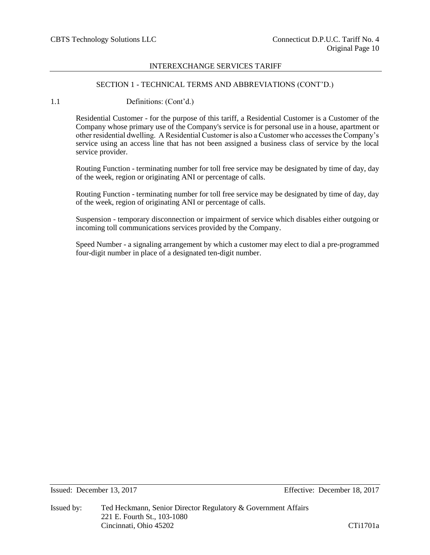## SECTION 1 - TECHNICAL TERMS AND ABBREVIATIONS (CONT'D.)

1.1 Definitions: (Cont'd.)

Residential Customer - for the purpose of this tariff, a Residential Customer is a Customer of the Company whose primary use of the Company's service is for personal use in a house, apartment or other residential dwelling. A Residential Customer is also a Customer who accesses the Company's service using an access line that has not been assigned a business class of service by the local service provider.

Routing Function - terminating number for toll free service may be designated by time of day, day of the week, region or originating ANI or percentage of calls.

Routing Function - terminating number for toll free service may be designated by time of day, day of the week, region of originating ANI or percentage of calls.

Suspension - temporary disconnection or impairment of service which disables either outgoing or incoming toll communications services provided by the Company.

Speed Number - a signaling arrangement by which a customer may elect to dial a pre-programmed four-digit number in place of a designated ten-digit number.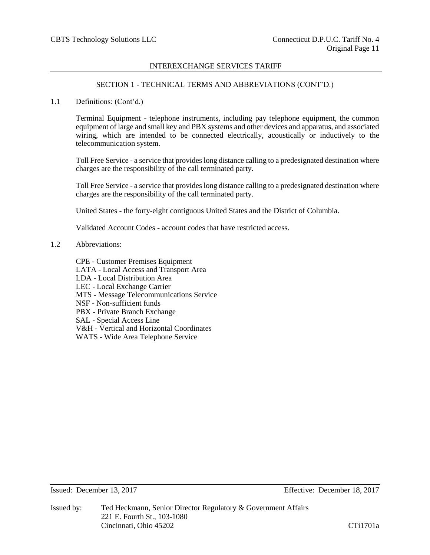## SECTION 1 - TECHNICAL TERMS AND ABBREVIATIONS (CONT'D.)

1.1 Definitions: (Cont'd.)

Terminal Equipment - telephone instruments, including pay telephone equipment, the common equipment of large and small key and PBX systems and other devices and apparatus, and associated wiring, which are intended to be connected electrically, acoustically or inductively to the telecommunication system.

Toll Free Service - a service that provides long distance calling to a predesignated destination where charges are the responsibility of the call terminated party.

Toll Free Service - a service that provides long distance calling to a predesignated destination where charges are the responsibility of the call terminated party.

United States - the forty-eight contiguous United States and the District of Columbia.

Validated Account Codes - account codes that have restricted access.

1.2 Abbreviations:

CPE - Customer Premises Equipment LATA - Local Access and Transport Area LDA - Local Distribution Area LEC - Local Exchange Carrier MTS - Message Telecommunications Service NSF - Non-sufficient funds PBX - Private Branch Exchange SAL - Special Access Line V&H - Vertical and Horizontal Coordinates WATS - Wide Area Telephone Service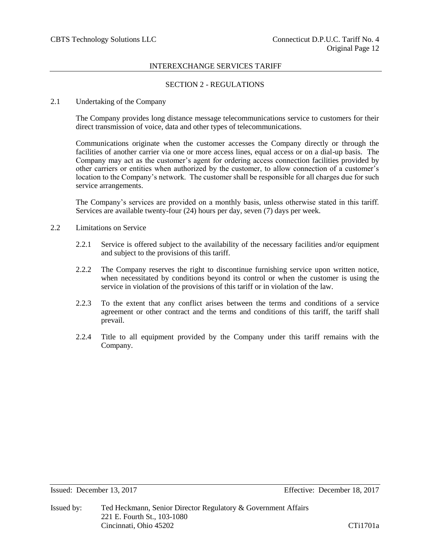# SECTION 2 - REGULATIONS

## 2.1 Undertaking of the Company

The Company provides long distance message telecommunications service to customers for their direct transmission of voice, data and other types of telecommunications.

Communications originate when the customer accesses the Company directly or through the facilities of another carrier via one or more access lines, equal access or on a dial-up basis. The Company may act as the customer's agent for ordering access connection facilities provided by other carriers or entities when authorized by the customer, to allow connection of a customer's location to the Company's network. The customer shall be responsible for all charges due for such service arrangements.

The Company's services are provided on a monthly basis, unless otherwise stated in this tariff. Services are available twenty-four (24) hours per day, seven (7) days per week.

- 2.2 Limitations on Service
	- 2.2.1 Service is offered subject to the availability of the necessary facilities and/or equipment and subject to the provisions of this tariff.
	- 2.2.2 The Company reserves the right to discontinue furnishing service upon written notice, when necessitated by conditions beyond its control or when the customer is using the service in violation of the provisions of this tariff or in violation of the law.
	- 2.2.3 To the extent that any conflict arises between the terms and conditions of a service agreement or other contract and the terms and conditions of this tariff, the tariff shall prevail.
	- 2.2.4 Title to all equipment provided by the Company under this tariff remains with the Company.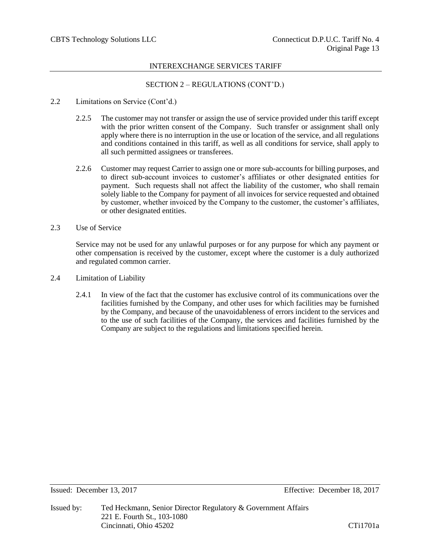# SECTION 2 – REGULATIONS (CONT'D.)

- 2.2 Limitations on Service (Cont'd.)
	- 2.2.5 The customer may not transfer or assign the use of service provided under this tariff except with the prior written consent of the Company. Such transfer or assignment shall only apply where there is no interruption in the use or location of the service, and all regulations and conditions contained in this tariff, as well as all conditions for service, shall apply to all such permitted assignees or transferees.
	- 2.2.6 Customer may request Carrier to assign one or more sub-accounts for billing purposes, and to direct sub-account invoices to customer's affiliates or other designated entities for payment. Such requests shall not affect the liability of the customer, who shall remain solely liable to the Company for payment of all invoices for service requested and obtained by customer, whether invoiced by the Company to the customer, the customer's affiliates, or other designated entities.
- 2.3 Use of Service

Service may not be used for any unlawful purposes or for any purpose for which any payment or other compensation is received by the customer, except where the customer is a duly authorized and regulated common carrier.

- 2.4 Limitation of Liability
	- 2.4.1 In view of the fact that the customer has exclusive control of its communications over the facilities furnished by the Company, and other uses for which facilities may be furnished by the Company, and because of the unavoidableness of errors incident to the services and to the use of such facilities of the Company, the services and facilities furnished by the Company are subject to the regulations and limitations specified herein.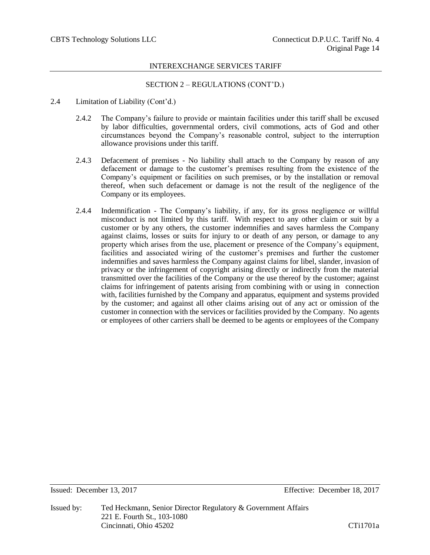# SECTION 2 – REGULATIONS (CONT'D.)

- 2.4 Limitation of Liability (Cont'd.)
	- 2.4.2 The Company's failure to provide or maintain facilities under this tariff shall be excused by labor difficulties, governmental orders, civil commotions, acts of God and other circumstances beyond the Company's reasonable control, subject to the interruption allowance provisions under this tariff.
	- 2.4.3 Defacement of premises No liability shall attach to the Company by reason of any defacement or damage to the customer's premises resulting from the existence of the Company's equipment or facilities on such premises, or by the installation or removal thereof, when such defacement or damage is not the result of the negligence of the Company or its employees.
	- 2.4.4 Indemnification The Company's liability, if any, for its gross negligence or willful misconduct is not limited by this tariff. With respect to any other claim or suit by a customer or by any others, the customer indemnifies and saves harmless the Company against claims, losses or suits for injury to or death of any person, or damage to any property which arises from the use, placement or presence of the Company's equipment, facilities and associated wiring of the customer's premises and further the customer indemnifies and saves harmless the Company against claims for libel, slander, invasion of privacy or the infringement of copyright arising directly or indirectly from the material transmitted over the facilities of the Company or the use thereof by the customer; against claims for infringement of patents arising from combining with or using in connection with, facilities furnished by the Company and apparatus, equipment and systems provided by the customer; and against all other claims arising out of any act or omission of the customer in connection with the services or facilities provided by the Company. No agents or employees of other carriers shall be deemed to be agents or employees of the Company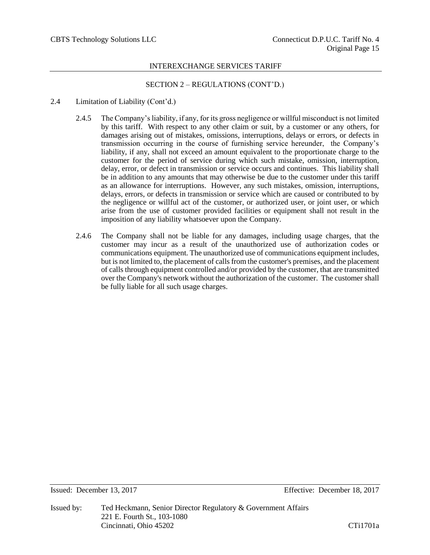# SECTION 2 – REGULATIONS (CONT'D.)

## 2.4 Limitation of Liability (Cont'd.)

- 2.4.5 The Company's liability, if any, for its gross negligence or willful misconduct is not limited by this tariff. With respect to any other claim or suit, by a customer or any others, for damages arising out of mistakes, omissions, interruptions, delays or errors, or defects in transmission occurring in the course of furnishing service hereunder, the Company's liability, if any, shall not exceed an amount equivalent to the proportionate charge to the customer for the period of service during which such mistake, omission, interruption, delay, error, or defect in transmission or service occurs and continues. This liability shall be in addition to any amounts that may otherwise be due to the customer under this tariff as an allowance for interruptions. However, any such mistakes, omission, interruptions, delays, errors, or defects in transmission or service which are caused or contributed to by the negligence or willful act of the customer, or authorized user, or joint user, or which arise from the use of customer provided facilities or equipment shall not result in the imposition of any liability whatsoever upon the Company.
- 2.4.6 The Company shall not be liable for any damages, including usage charges, that the customer may incur as a result of the unauthorized use of authorization codes or communications equipment. The unauthorized use of communications equipment includes, but is not limited to, the placement of calls from the customer's premises, and the placement of calls through equipment controlled and/or provided by the customer, that are transmitted over the Company's network without the authorization of the customer. The customer shall be fully liable for all such usage charges.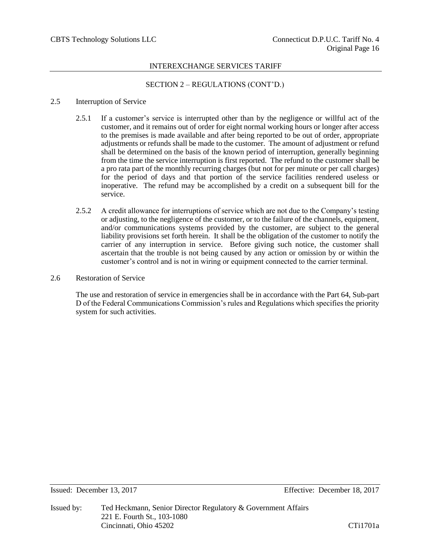# SECTION 2 – REGULATIONS (CONT'D.)

## 2.5 Interruption of Service

- 2.5.1 If a customer's service is interrupted other than by the negligence or willful act of the customer, and it remains out of order for eight normal working hours or longer after access to the premises is made available and after being reported to be out of order, appropriate adjustments or refunds shall be made to the customer. The amount of adjustment or refund shall be determined on the basis of the known period of interruption, generally beginning from the time the service interruption is first reported. The refund to the customer shall be a pro rata part of the monthly recurring charges (but not for per minute or per call charges) for the period of days and that portion of the service facilities rendered useless or inoperative. The refund may be accomplished by a credit on a subsequent bill for the service.
- 2.5.2 A credit allowance for interruptions of service which are not due to the Company's testing or adjusting, to the negligence of the customer, or to the failure of the channels, equipment, and/or communications systems provided by the customer, are subject to the general liability provisions set forth herein. It shall be the obligation of the customer to notify the carrier of any interruption in service. Before giving such notice, the customer shall ascertain that the trouble is not being caused by any action or omission by or within the customer's control and is not in wiring or equipment connected to the carrier terminal.
- 2.6 Restoration of Service

The use and restoration of service in emergencies shall be in accordance with the Part 64, Sub-part D of the Federal Communications Commission's rules and Regulations which specifies the priority system for such activities.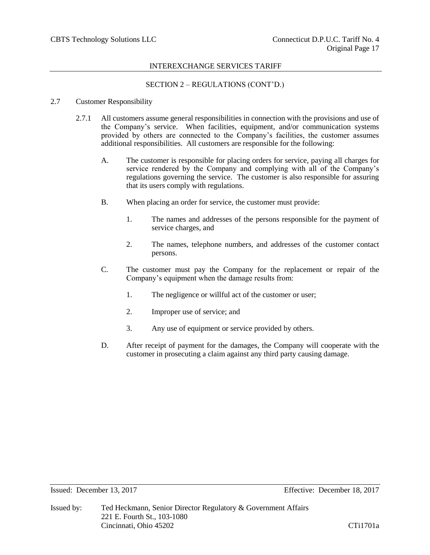# SECTION 2 – REGULATIONS (CONT'D.)

## 2.7 Customer Responsibility

- 2.7.1 All customers assume general responsibilities in connection with the provisions and use of the Company's service. When facilities, equipment, and/or communication systems provided by others are connected to the Company's facilities, the customer assumes additional responsibilities. All customers are responsible for the following:
	- A. The customer is responsible for placing orders for service, paying all charges for service rendered by the Company and complying with all of the Company's regulations governing the service. The customer is also responsible for assuring that its users comply with regulations.
	- B. When placing an order for service, the customer must provide:
		- 1. The names and addresses of the persons responsible for the payment of service charges, and
		- 2. The names, telephone numbers, and addresses of the customer contact persons.
	- C. The customer must pay the Company for the replacement or repair of the Company's equipment when the damage results from:
		- 1. The negligence or willful act of the customer or user;
		- 2. Improper use of service; and
		- 3. Any use of equipment or service provided by others.
	- D. After receipt of payment for the damages, the Company will cooperate with the customer in prosecuting a claim against any third party causing damage.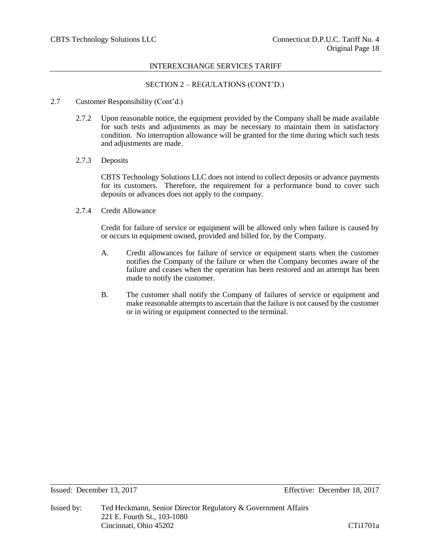# SECTION 2 – REGULATIONS (CONT'D.)

## 2.7 Customer Responsibility (Cont'd.)

- 2.7.2 Upon reasonable notice, the equipment provided by the Company shall be made available for such tests and adjustments as may be necessary to maintain them in satisfactory condition. No interruption allowance will be granted for the time during which such tests and adjustments are made.
- 2.7.3 Deposits

CBTS Technology Solutions LLC does not intend to collect deposits or advance payments for its customers. Therefore, the requirement for a performance bond to cover such deposits or advances does not apply to the company.

## 2.7.4 Credit Allowance

Credit for failure of service or equipment will be allowed only when failure is caused by or occurs in equipment owned, provided and billed for, by the Company.

- A. Credit allowances for failure of service or equipment starts when the customer notifies the Company of the failure or when the Company becomes aware of the failure and ceases when the operation has been restored and an attempt has been made to notify the customer.
- B. The customer shall notify the Company of failures of service or equipment and make reasonable attempts to ascertain that the failure is not caused by the customer or in wiring or equipment connected to the terminal.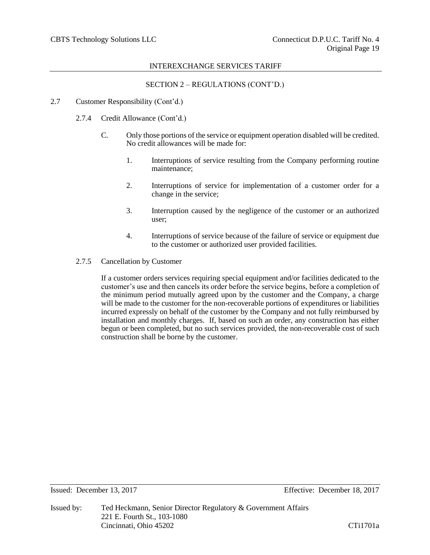# SECTION 2 – REGULATIONS (CONT'D.)

#### 2.7 Customer Responsibility (Cont'd.)

- 2.7.4 Credit Allowance (Cont'd.)
	- C. Only those portions of the service or equipment operation disabled will be credited. No credit allowances will be made for:
		- 1. Interruptions of service resulting from the Company performing routine maintenance;
		- 2. Interruptions of service for implementation of a customer order for a change in the service;
		- 3. Interruption caused by the negligence of the customer or an authorized user;
		- 4. Interruptions of service because of the failure of service or equipment due to the customer or authorized user provided facilities.
- 2.7.5 Cancellation by Customer

If a customer orders services requiring special equipment and/or facilities dedicated to the customer's use and then cancels its order before the service begins, before a completion of the minimum period mutually agreed upon by the customer and the Company, a charge will be made to the customer for the non-recoverable portions of expenditures or liabilities incurred expressly on behalf of the customer by the Company and not fully reimbursed by installation and monthly charges. If, based on such an order, any construction has either begun or been completed, but no such services provided, the non-recoverable cost of such construction shall be borne by the customer.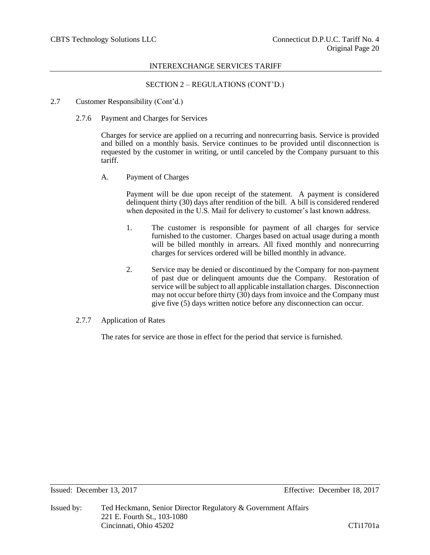# SECTION 2 – REGULATIONS (CONT'D.)

- 2.7 Customer Responsibility (Cont'd.)
	- 2.7.6 Payment and Charges for Services

Charges for service are applied on a recurring and nonrecurring basis. Service is provided and billed on a monthly basis. Service continues to be provided until disconnection is requested by the customer in writing, or until canceled by the Company pursuant to this tariff.

A. Payment of Charges

Payment will be due upon receipt of the statement. A payment is considered delinquent thirty (30) days after rendition of the bill. A bill is considered rendered when deposited in the U.S. Mail for delivery to customer's last known address.

- 1. The customer is responsible for payment of all charges for service furnished to the customer. Charges based on actual usage during a month will be billed monthly in arrears. All fixed monthly and nonrecurring charges for services ordered will be billed monthly in advance.
- 2. Service may be denied or discontinued by the Company for non-payment of past due or delinquent amounts due the Company. Restoration of service will be subject to all applicable installation charges. Disconnection may not occur before thirty  $(30)$  days from invoice and the Company must give five (5) days written notice before any disconnection can occur.

#### 2.7.7 Application of Rates

The rates for service are those in effect for the period that service is furnished.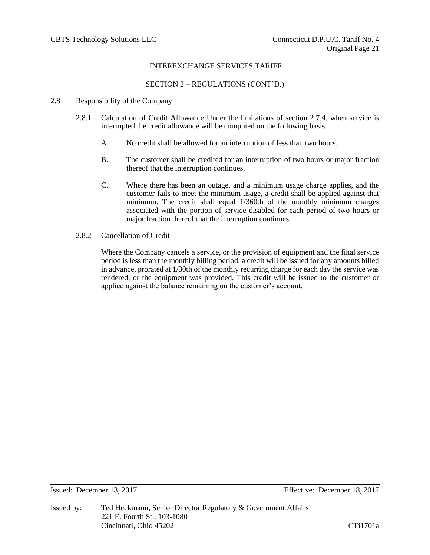# SECTION 2 – REGULATIONS (CONT'D.)

## 2.8 Responsibility of the Company

- 2.8.1 Calculation of Credit Allowance Under the limitations of section 2.7.4, when service is interrupted the credit allowance will be computed on the following basis.
	- A. No credit shall be allowed for an interruption of less than two hours.
	- B. The customer shall be credited for an interruption of two hours or major fraction thereof that the interruption continues.
	- C. Where there has been an outage, and a minimum usage charge applies, and the customer fails to meet the minimum usage, a credit shall be applied against that minimum. The credit shall equal 1/360th of the monthly minimum charges associated with the portion of service disabled for each period of two hours or major fraction thereof that the interruption continues.
- 2.8.2 Cancellation of Credit

Where the Company cancels a service, or the provision of equipment and the final service period is less than the monthly billing period, a credit will be issued for any amounts billed in advance, prorated at 1/30th of the monthly recurring charge for each day the service was rendered, or the equipment was provided. This credit will be issued to the customer or applied against the balance remaining on the customer's account.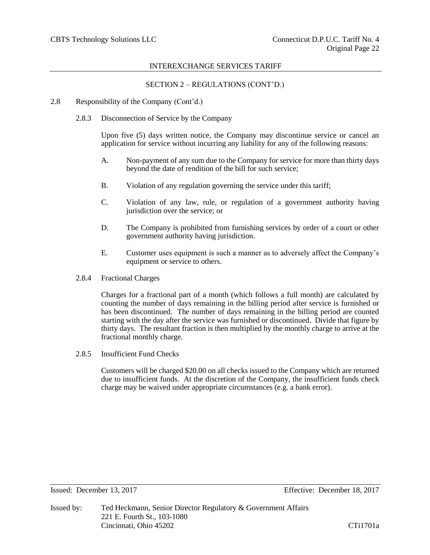# SECTION 2 – REGULATIONS (CONT'D.)

- 2.8 Responsibility of the Company (Cont'd.)
	- 2.8.3 Disconnection of Service by the Company

Upon five (5) days written notice, the Company may discontinue service or cancel an application for service without incurring any liability for any of the following reasons:

- A. Non-payment of any sum due to the Company for service for more than thirty days beyond the date of rendition of the bill for such service;
- B. Violation of any regulation governing the service under this tariff;
- C. Violation of any law, rule, or regulation of a government authority having jurisdiction over the service; or
- D. The Company is prohibited from furnishing services by order of a court or other government authority having jurisdiction.
- E. Customer uses equipment is such a manner as to adversely affect the Company's equipment or service to others.
- 2.8.4 Fractional Charges

Charges for a fractional part of a month (which follows a full month) are calculated by counting the number of days remaining in the billing period after service is furnished or has been discontinued. The number of days remaining in the billing period are counted starting with the day after the service was furnished or discontinued. Divide that figure by thirty days. The resultant fraction is then multiplied by the monthly charge to arrive at the fractional monthly charge.

2.8.5 Insufficient Fund Checks

Customers will be charged \$20.00 on all checks issued to the Company which are returned due to insufficient funds. At the discretion of the Company, the insufficient funds check charge may be waived under appropriate circumstances (e.g. a bank error).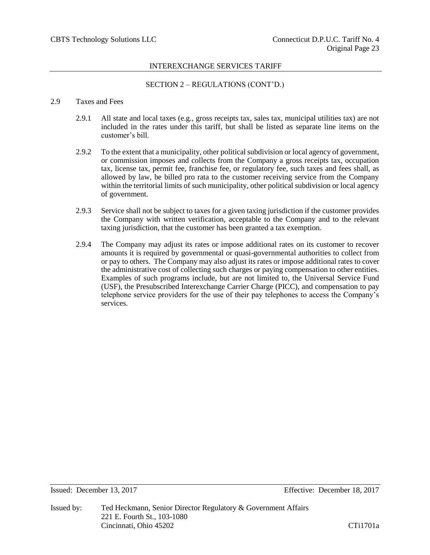# SECTION 2 – REGULATIONS (CONT'D.)

# 2.9 Taxes and Fees

- 2.9.1 All state and local taxes (e.g., gross receipts tax, sales tax, municipal utilities tax) are not included in the rates under this tariff, but shall be listed as separate line items on the customer's bill.
- 2.9.2 To the extent that a municipality, other political subdivision or local agency of government, or commission imposes and collects from the Company a gross receipts tax, occupation tax, license tax, permit fee, franchise fee, or regulatory fee, such taxes and fees shall, as allowed by law, be billed pro rata to the customer receiving service from the Company within the territorial limits of such municipality, other political subdivision or local agency of government.
- 2.9.3 Service shall not be subject to taxes for a given taxing jurisdiction if the customer provides the Company with written verification, acceptable to the Company and to the relevant taxing jurisdiction, that the customer has been granted a tax exemption.
- 2.9.4 The Company may adjust its rates or impose additional rates on its customer to recover amounts it is required by governmental or quasi-governmental authorities to collect from or pay to others. The Company may also adjust its rates or impose additional rates to cover the administrative cost of collecting such charges or paying compensation to other entities. Examples of such programs include, but are not limited to, the Universal Service Fund (USF), the Presubscribed Interexchange Carrier Charge (PICC), and compensation to pay telephone service providers for the use of their pay telephones to access the Company's services.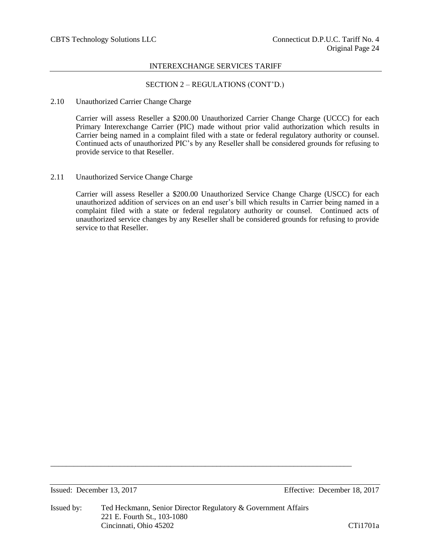# SECTION 2 – REGULATIONS (CONT'D.)

## 2.10 Unauthorized Carrier Change Charge

Carrier will assess Reseller a \$200.00 Unauthorized Carrier Change Charge (UCCC) for each Primary Interexchange Carrier (PIC) made without prior valid authorization which results in Carrier being named in a complaint filed with a state or federal regulatory authority or counsel. Continued acts of unauthorized PIC's by any Reseller shall be considered grounds for refusing to provide service to that Reseller.

# 2.11 Unauthorized Service Change Charge

Carrier will assess Reseller a \$200.00 Unauthorized Service Change Charge (USCC) for each unauthorized addition of services on an end user's bill which results in Carrier being named in a complaint filed with a state or federal regulatory authority or counsel. Continued acts of unauthorized service changes by any Reseller shall be considered grounds for refusing to provide service to that Reseller.

Issued: December 13, 2017 Effective: December 18, 2017

\_\_\_\_\_\_\_\_\_\_\_\_\_\_\_\_\_\_\_\_\_\_\_\_\_\_\_\_\_\_\_\_\_\_\_\_\_\_\_\_\_\_\_\_\_\_\_\_\_\_\_\_\_\_\_\_\_\_\_\_\_\_\_\_\_\_\_\_\_\_\_\_\_\_\_\_\_\_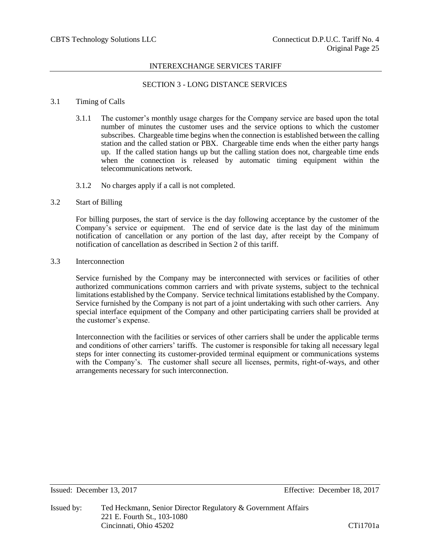# SECTION 3 - LONG DISTANCE SERVICES

## 3.1 Timing of Calls

- 3.1.1 The customer's monthly usage charges for the Company service are based upon the total number of minutes the customer uses and the service options to which the customer subscribes. Chargeable time begins when the connection is established between the calling station and the called station or PBX. Chargeable time ends when the either party hangs up. If the called station hangs up but the calling station does not, chargeable time ends when the connection is released by automatic timing equipment within the telecommunications network.
- 3.1.2 No charges apply if a call is not completed.

## 3.2 Start of Billing

For billing purposes, the start of service is the day following acceptance by the customer of the Company's service or equipment. The end of service date is the last day of the minimum notification of cancellation or any portion of the last day, after receipt by the Company of notification of cancellation as described in Section 2 of this tariff.

#### 3.3 Interconnection

Service furnished by the Company may be interconnected with services or facilities of other authorized communications common carriers and with private systems, subject to the technical limitations established by the Company. Service technical limitations established by the Company. Service furnished by the Company is not part of a joint undertaking with such other carriers. Any special interface equipment of the Company and other participating carriers shall be provided at the customer's expense.

Interconnection with the facilities or services of other carriers shall be under the applicable terms and conditions of other carriers' tariffs. The customer is responsible for taking all necessary legal steps for inter connecting its customer-provided terminal equipment or communications systems with the Company's. The customer shall secure all licenses, permits, right-of-ways, and other arrangements necessary for such interconnection.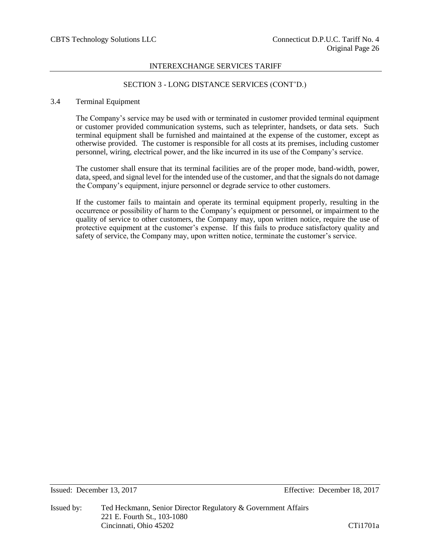# SECTION 3 - LONG DISTANCE SERVICES (CONT'D.)

## 3.4 Terminal Equipment

The Company's service may be used with or terminated in customer provided terminal equipment or customer provided communication systems, such as teleprinter, handsets, or data sets. Such terminal equipment shall be furnished and maintained at the expense of the customer, except as otherwise provided. The customer is responsible for all costs at its premises, including customer personnel, wiring, electrical power, and the like incurred in its use of the Company's service.

The customer shall ensure that its terminal facilities are of the proper mode, band-width, power, data, speed, and signal level for the intended use of the customer, and that the signals do not damage the Company's equipment, injure personnel or degrade service to other customers.

If the customer fails to maintain and operate its terminal equipment properly, resulting in the occurrence or possibility of harm to the Company's equipment or personnel, or impairment to the quality of service to other customers, the Company may, upon written notice, require the use of protective equipment at the customer's expense. If this fails to produce satisfactory quality and safety of service, the Company may, upon written notice, terminate the customer's service.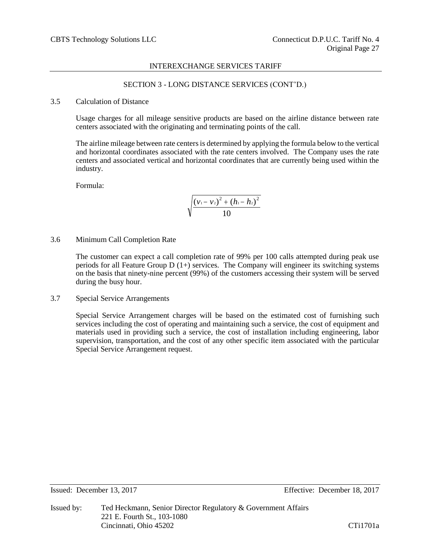# SECTION 3 - LONG DISTANCE SERVICES (CONT'D.)

#### 3.5 Calculation of Distance

Usage charges for all mileage sensitive products are based on the airline distance between rate centers associated with the originating and terminating points of the call.

The airline mileage between rate centers is determined by applying the formula below to the vertical and horizontal coordinates associated with the rate centers involved. The Company uses the rate centers and associated vertical and horizontal coordinates that are currently being used within the industry.

Formula:

$$
\sqrt{\frac{(v_1-v_2)^2+(h_1-h_2)^2}{10}}
$$

3.6 Minimum Call Completion Rate

The customer can expect a call completion rate of 99% per 100 calls attempted during peak use periods for all Feature Group  $D(1+)$  services. The Company will engineer its switching systems on the basis that ninety-nine percent (99%) of the customers accessing their system will be served during the busy hour.

3.7 Special Service Arrangements

Special Service Arrangement charges will be based on the estimated cost of furnishing such services including the cost of operating and maintaining such a service, the cost of equipment and materials used in providing such a service, the cost of installation including engineering, labor supervision, transportation, and the cost of any other specific item associated with the particular Special Service Arrangement request.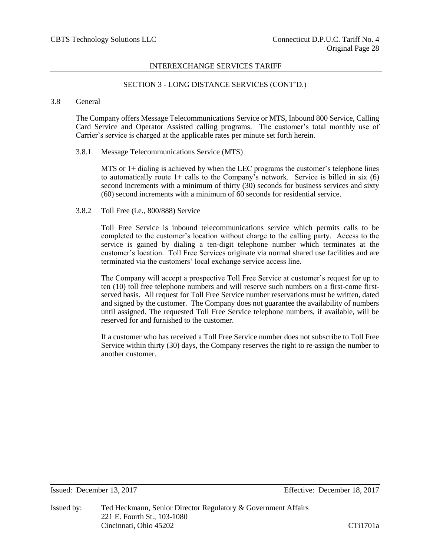# SECTION 3 - LONG DISTANCE SERVICES (CONT'D.)

## 3.8 General

The Company offers Message Telecommunications Service or MTS, Inbound 800 Service, Calling Card Service and Operator Assisted calling programs. The customer's total monthly use of Carrier's service is charged at the applicable rates per minute set forth herein.

## 3.8.1 Message Telecommunications Service (MTS)

MTS or 1+ dialing is achieved by when the LEC programs the customer's telephone lines to automatically route  $1+$  calls to the Company's network. Service is billed in six (6) second increments with a minimum of thirty (30) seconds for business services and sixty (60) second increments with a minimum of 60 seconds for residential service.

## 3.8.2 Toll Free (i.e., 800/888) Service

Toll Free Service is inbound telecommunications service which permits calls to be completed to the customer's location without charge to the calling party. Access to the service is gained by dialing a ten-digit telephone number which terminates at the customer's location. Toll Free Services originate via normal shared use facilities and are terminated via the customers' local exchange service access line.

The Company will accept a prospective Toll Free Service at customer's request for up to ten (10) toll free telephone numbers and will reserve such numbers on a first-come firstserved basis. All request for Toll Free Service number reservations must be written, dated and signed by the customer. The Company does not guarantee the availability of numbers until assigned. The requested Toll Free Service telephone numbers, if available, will be reserved for and furnished to the customer.

If a customer who has received a Toll Free Service number does not subscribe to Toll Free Service within thirty (30) days, the Company reserves the right to re-assign the number to another customer.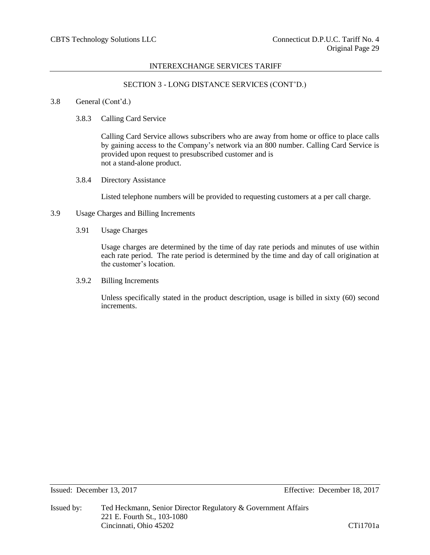# SECTION 3 - LONG DISTANCE SERVICES (CONT'D.)

## 3.8 General (Cont'd.)

3.8.3 Calling Card Service

Calling Card Service allows subscribers who are away from home or office to place calls by gaining access to the Company's network via an 800 number. Calling Card Service is provided upon request to presubscribed customer and is not a stand-alone product.

3.8.4 Directory Assistance

Listed telephone numbers will be provided to requesting customers at a per call charge.

- 3.9 Usage Charges and Billing Increments
	- 3.91 Usage Charges

Usage charges are determined by the time of day rate periods and minutes of use within each rate period. The rate period is determined by the time and day of call origination at the customer's location.

3.9.2 Billing Increments

Unless specifically stated in the product description, usage is billed in sixty (60) second increments.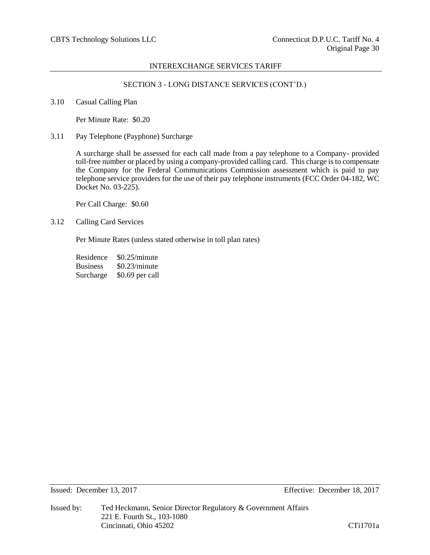# SECTION 3 - LONG DISTANCE SERVICES (CONT'D.)

3.10 Casual Calling Plan

Per Minute Rate: \$0.20

3.11 Pay Telephone (Payphone) Surcharge

A surcharge shall be assessed for each call made from a pay telephone to a Company- provided toll-free number or placed by using a company-provided calling card. This charge is to compensate the Company for the Federal Communications Commission assessment which is paid to pay telephone service providers for the use of their pay telephone instruments (FCC Order 04-182, WC Docket No. 03-225).

Per Call Charge: \$0.60

3.12 Calling Card Services

Per Minute Rates (unless stated otherwise in toll plan rates)

Residence \$0.25/minute Business \$0.23/minute Surcharge \$0.69 per call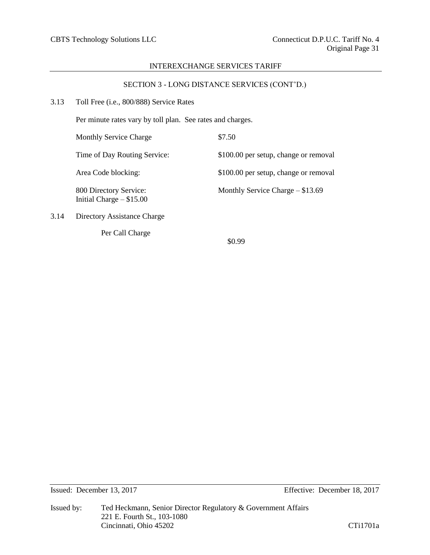# SECTION 3 - LONG DISTANCE SERVICES (CONT'D.)

| 3.13 | Toll Free (i.e., 800/888) Service Rates |  |  |
|------|-----------------------------------------|--|--|
|------|-----------------------------------------|--|--|

Per Call Charge

Per minute rates vary by toll plan. See rates and charges.

Monthly Service Charge  $$7.50$ Time of Day Routing Service: \$100.00 per setup, change or removal Area Code blocking: \$100.00 per setup, change or removal 800 Directory Service: Monthly Service Charge – \$13.69 Initial Charge – \$15.00 3.14 Directory Assistance Charge

\$0.99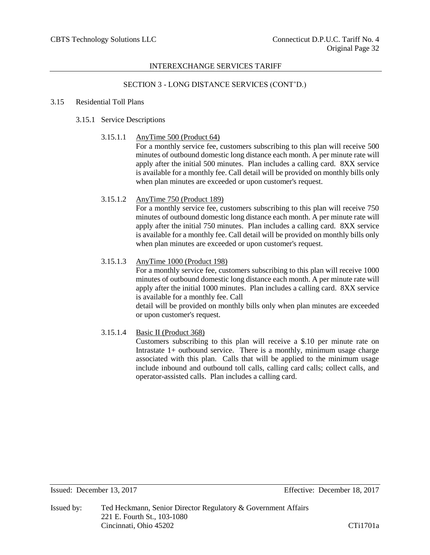# SECTION 3 - LONG DISTANCE SERVICES (CONT'D.)

## 3.15 Residential Toll Plans

# 3.15.1 Service Descriptions

# 3.15.1.1 AnyTime 500 (Product 64)

For a monthly service fee, customers subscribing to this plan will receive 500 minutes of outbound domestic long distance each month. A per minute rate will apply after the initial 500 minutes. Plan includes a calling card. 8XX service is available for a monthly fee. Call detail will be provided on monthly bills only when plan minutes are exceeded or upon customer's request.

# 3.15.1.2 AnyTime 750 (Product 189)

For a monthly service fee, customers subscribing to this plan will receive 750 minutes of outbound domestic long distance each month. A per minute rate will apply after the initial 750 minutes. Plan includes a calling card. 8XX service is available for a monthly fee. Call detail will be provided on monthly bills only when plan minutes are exceeded or upon customer's request.

# 3.15.1.3 AnyTime 1000 (Product 198)

For a monthly service fee, customers subscribing to this plan will receive 1000 minutes of outbound domestic long distance each month. A per minute rate will apply after the initial 1000 minutes. Plan includes a calling card. 8XX service is available for a monthly fee. Call

detail will be provided on monthly bills only when plan minutes are exceeded or upon customer's request.

# 3.15.1.4 Basic II (Product 368)

Customers subscribing to this plan will receive a \$.10 per minute rate on Intrastate 1+ outbound service. There is a monthly, minimum usage charge associated with this plan. Calls that will be applied to the minimum usage include inbound and outbound toll calls, calling card calls; collect calls, and operator-assisted calls. Plan includes a calling card.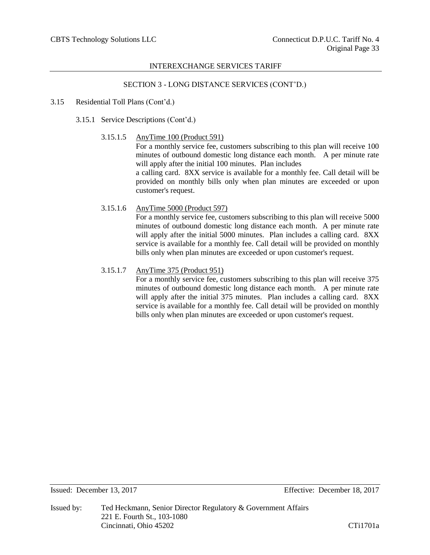# SECTION 3 - LONG DISTANCE SERVICES (CONT'D.)

# 3.15 Residential Toll Plans (Cont'd.)

3.15.1 Service Descriptions (Cont'd.)

# 3.15.1.5 AnyTime 100 (Product 591)

For a monthly service fee, customers subscribing to this plan will receive 100 minutes of outbound domestic long distance each month. A per minute rate will apply after the initial 100 minutes. Plan includes a calling card. 8XX service is available for a monthly fee. Call detail will be provided on monthly bills only when plan minutes are exceeded or upon customer's request.

# 3.15.1.6 AnyTime 5000 (Product 597)

For a monthly service fee, customers subscribing to this plan will receive 5000 minutes of outbound domestic long distance each month. A per minute rate will apply after the initial 5000 minutes. Plan includes a calling card. 8XX service is available for a monthly fee. Call detail will be provided on monthly bills only when plan minutes are exceeded or upon customer's request.

# 3.15.1.7 AnyTime 375 (Product 951)

For a monthly service fee, customers subscribing to this plan will receive 375 minutes of outbound domestic long distance each month. A per minute rate will apply after the initial 375 minutes. Plan includes a calling card. 8XX service is available for a monthly fee. Call detail will be provided on monthly bills only when plan minutes are exceeded or upon customer's request.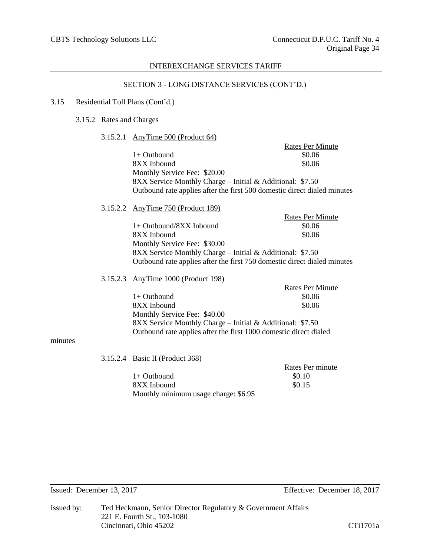# SECTION 3 - LONG DISTANCE SERVICES (CONT'D.)

#### 3.15 Residential Toll Plans (Cont'd.)

3.15.2 Rates and Charges

#### 3.15.2.1 AnyTime 500 (Product 64)

Rates Per Minute  $1+$  Outbound  $$0.06$ 8XX Inbound \$0.06 Monthly Service Fee: \$20.00 8XX Service Monthly Charge – Initial & Additional: \$7.50 Outbound rate applies after the first 500 domestic direct dialed minutes

3.15.2.2 AnyTime 750 (Product 189)

Rates Per Minute 1+ Outbound/8XX Inbound  $$0.06$ 8XX Inbound \$0.06 Monthly Service Fee: \$30.00 8XX Service Monthly Charge – Initial & Additional: \$7.50 Outbound rate applies after the first 750 domestic direct dialed minutes

# 3.15.2.3 AnyTime 1000 (Product 198)

|                                                                   | <b>Rates Per Minute</b> |
|-------------------------------------------------------------------|-------------------------|
| $1+$ Outbound                                                     | \$0.06                  |
| 8XX Inbound                                                       | \$0.06                  |
| Monthly Service Fee: \$40.00                                      |                         |
| 8XX Service Monthly Charge – Initial & Additional: $$7.50$        |                         |
| Outbound rate applies after the first 1000 domestic direct dialed |                         |

## minutes

3.15.2.4 Basic II (Product 368)

|                                      | Rates Per minute |
|--------------------------------------|------------------|
| 1+ Outbound                          | \$0.10           |
| 8XX Inbound                          | \$0.15           |
| Monthly minimum usage charge: \$6.95 |                  |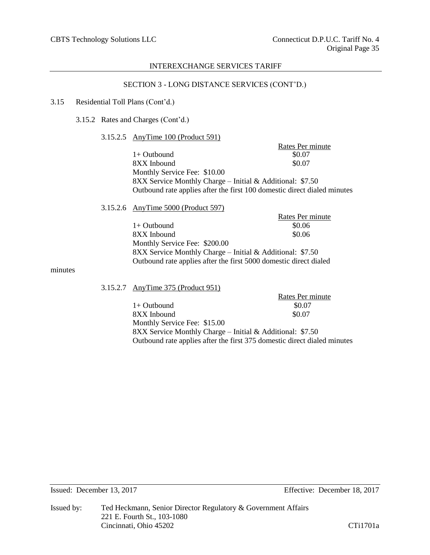# SECTION 3 - LONG DISTANCE SERVICES (CONT'D.)

#### 3.15 Residential Toll Plans (Cont'd.)

3.15.2 Rates and Charges (Cont'd.)

## 3.15.2.5 AnyTime 100 (Product 591)

Rates Per minute<br>\$0.07  $1+$  Outbound 8XX Inbound  $$0.07$ Monthly Service Fee: \$10.00 8XX Service Monthly Charge – Initial & Additional: \$7.50 Outbound rate applies after the first 100 domestic direct dialed minutes

# 3.15.2.6 AnyTime 5000 (Product 597)

|                                                                   | Rates Per minute |
|-------------------------------------------------------------------|------------------|
| $1+$ Outbound                                                     | \$0.06           |
| 8XX Inbound                                                       | \$0.06           |
| Monthly Service Fee: \$200.00                                     |                  |
| 8XX Service Monthly Charge – Initial & Additional: $$7.50$        |                  |
| Outbound rate applies after the first 5000 domestic direct dialed |                  |

#### minutes

## 3.15.2.7 AnyTime 375 (Product 951)

|                                                                          | NAICS FUI IIIIIIUUC |
|--------------------------------------------------------------------------|---------------------|
| 1+ Outbound                                                              | \$0.07              |
| 8XX Inbound                                                              | \$0.07              |
| Monthly Service Fee: \$15.00                                             |                     |
| 8XX Service Monthly Charge – Initial & Additional: \$7.50                |                     |
| Outbound rate applies after the first 375 domestic direct dialed minutes |                     |

Rates Per minute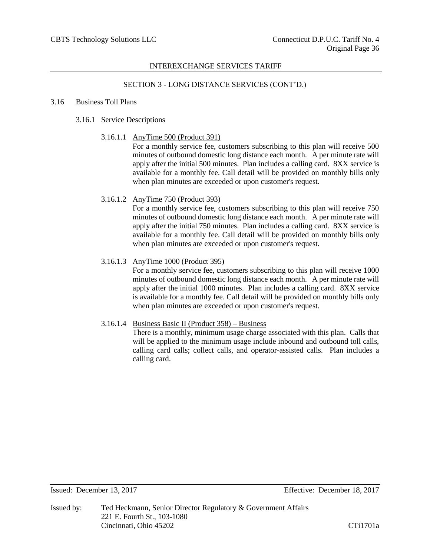# SECTION 3 - LONG DISTANCE SERVICES (CONT'D.)

## 3.16 Business Toll Plans

# 3.16.1 Service Descriptions

# 3.16.1.1 AnyTime 500 (Product 391)

For a monthly service fee, customers subscribing to this plan will receive 500 minutes of outbound domestic long distance each month. A per minute rate will apply after the initial 500 minutes. Plan includes a calling card. 8XX service is available for a monthly fee. Call detail will be provided on monthly bills only when plan minutes are exceeded or upon customer's request.

# 3.16.1.2 AnyTime 750 (Product 393)

For a monthly service fee, customers subscribing to this plan will receive 750 minutes of outbound domestic long distance each month. A per minute rate will apply after the initial 750 minutes. Plan includes a calling card. 8XX service is available for a monthly fee. Call detail will be provided on monthly bills only when plan minutes are exceeded or upon customer's request.

# 3.16.1.3 AnyTime 1000 (Product 395)

For a monthly service fee, customers subscribing to this plan will receive 1000 minutes of outbound domestic long distance each month. A per minute rate will apply after the initial 1000 minutes. Plan includes a calling card. 8XX service is available for a monthly fee. Call detail will be provided on monthly bills only when plan minutes are exceeded or upon customer's request.

# 3.16.1.4 Business Basic II (Product 358) – Business

There is a monthly, minimum usage charge associated with this plan. Calls that will be applied to the minimum usage include inbound and outbound toll calls, calling card calls; collect calls, and operator-assisted calls. Plan includes a calling card.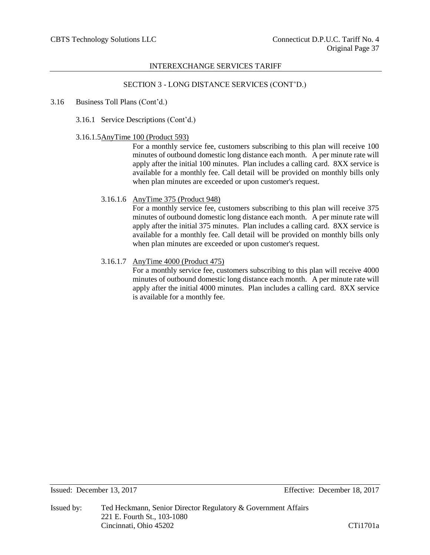# SECTION 3 - LONG DISTANCE SERVICES (CONT'D.)

3.16 Business Toll Plans (Cont'd.)

3.16.1 Service Descriptions (Cont'd.)

#### 3.16.1.5AnyTime 100 (Product 593)

For a monthly service fee, customers subscribing to this plan will receive 100 minutes of outbound domestic long distance each month. A per minute rate will apply after the initial 100 minutes. Plan includes a calling card. 8XX service is available for a monthly fee. Call detail will be provided on monthly bills only when plan minutes are exceeded or upon customer's request.

## 3.16.1.6 AnyTime 375 (Product 948)

For a monthly service fee, customers subscribing to this plan will receive 375 minutes of outbound domestic long distance each month. A per minute rate will apply after the initial 375 minutes. Plan includes a calling card. 8XX service is available for a monthly fee. Call detail will be provided on monthly bills only when plan minutes are exceeded or upon customer's request.

# 3.16.1.7 AnyTime 4000 (Product 475)

For a monthly service fee, customers subscribing to this plan will receive 4000 minutes of outbound domestic long distance each month. A per minute rate will apply after the initial 4000 minutes. Plan includes a calling card. 8XX service is available for a monthly fee.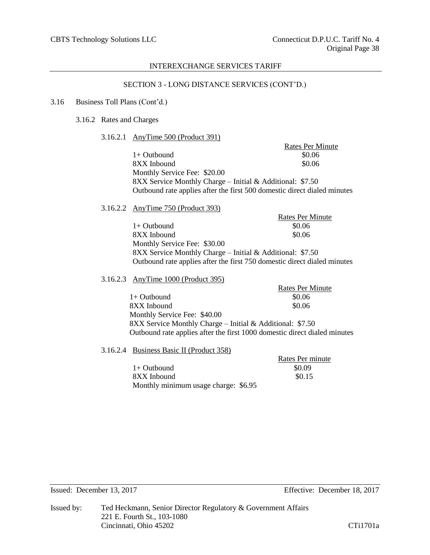## SECTION 3 - LONG DISTANCE SERVICES (CONT'D.)

#### 3.16 Business Toll Plans (Cont'd.)

3.16.2 Rates and Charges

#### 3.16.2.1 AnyTime 500 (Product 391)

Rates Per Minute  $1+$  Outbound  $$0.06$ 8XX Inbound \$0.06 Monthly Service Fee: \$20.00 8XX Service Monthly Charge – Initial & Additional: \$7.50 Outbound rate applies after the first 500 domestic direct dialed minutes

## 3.16.2.2 AnyTime 750 (Product 393)

Rates Per Minute  $1+$  Outbound  $\$0.06$ 8XX Inbound \$0.06 Monthly Service Fee: \$30.00 8XX Service Monthly Charge – Initial & Additional: \$7.50 Outbound rate applies after the first 750 domestic direct dialed minutes

## 3.16.2.3 AnyTime 1000 (Product 395)

|                                                                           | <b>Rates Per Minute</b> |
|---------------------------------------------------------------------------|-------------------------|
| $1+$ Outbound                                                             | \$0.06                  |
| 8XX Inbound                                                               | \$0.06                  |
| Monthly Service Fee: \$40.00                                              |                         |
| 8XX Service Monthly Charge – Initial & Additional: \$7.50                 |                         |
| Outbound rate applies after the first 1000 domestic direct dialed minutes |                         |

#### 3.16.2.4 Business Basic II (Product 358)

 $1+$  Outbound  $\$0.09$ 8XX Inbound \$0.15 Monthly minimum usage charge: \$6.95

Rates Per minute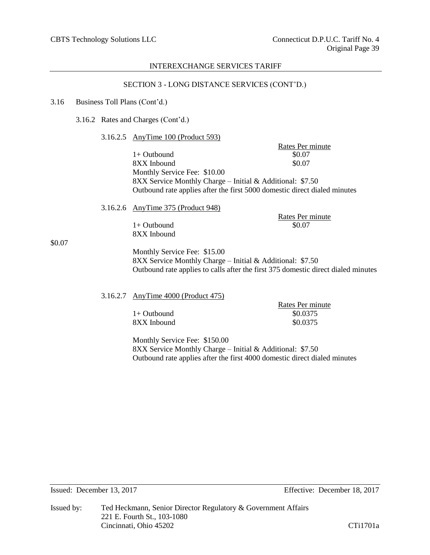## SECTION 3 - LONG DISTANCE SERVICES (CONT'D.)

#### 3.16 Business Toll Plans (Cont'd.)

3.16.2 Rates and Charges (Cont'd.)

## 3.16.2.5 AnyTime 100 (Product 593)

Rates Per minute  $1+$  Outbound  $$0.07$ 8XX Inbound  $$0.07$ Monthly Service Fee: \$10.00 8XX Service Monthly Charge – Initial & Additional: \$7.50 Outbound rate applies after the first 5000 domestic direct dialed minutes

# 3.16.2.6 AnyTime 375 (Product 948)

 $1+$  Outbound 8XX Inbound Rates Per minute<br>\$0.07

\$0.07

Monthly Service Fee: \$15.00 8XX Service Monthly Charge – Initial & Additional: \$7.50 Outbound rate applies to calls after the first 375 domestic direct dialed minutes

## 3.16.2.7 AnyTime 4000 (Product 475)

|             | Rates Per minute |
|-------------|------------------|
| 1+ Outbound | \$0.0375         |
| 8XX Inbound | \$0.0375         |

Monthly Service Fee: \$150.00 8XX Service Monthly Charge – Initial & Additional: \$7.50 Outbound rate applies after the first 4000 domestic direct dialed minutes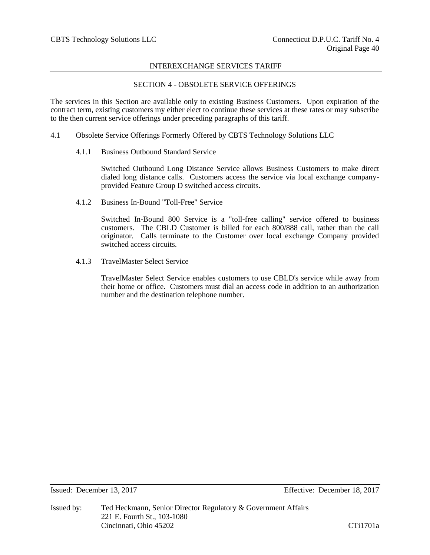# SECTION 4 - OBSOLETE SERVICE OFFERINGS

The services in this Section are available only to existing Business Customers. Upon expiration of the contract term, existing customers my either elect to continue these services at these rates or may subscribe to the then current service offerings under preceding paragraphs of this tariff.

- 4.1 Obsolete Service Offerings Formerly Offered by CBTS Technology Solutions LLC
	- 4.1.1 Business Outbound Standard Service

Switched Outbound Long Distance Service allows Business Customers to make direct dialed long distance calls. Customers access the service via local exchange companyprovided Feature Group D switched access circuits.

4.1.2 Business In-Bound "Toll-Free" Service

Switched In-Bound 800 Service is a "toll-free calling" service offered to business customers. The CBLD Customer is billed for each 800/888 call, rather than the call originator. Calls terminate to the Customer over local exchange Company provided switched access circuits.

4.1.3 TravelMaster Select Service

TravelMaster Select Service enables customers to use CBLD's service while away from their home or office. Customers must dial an access code in addition to an authorization number and the destination telephone number.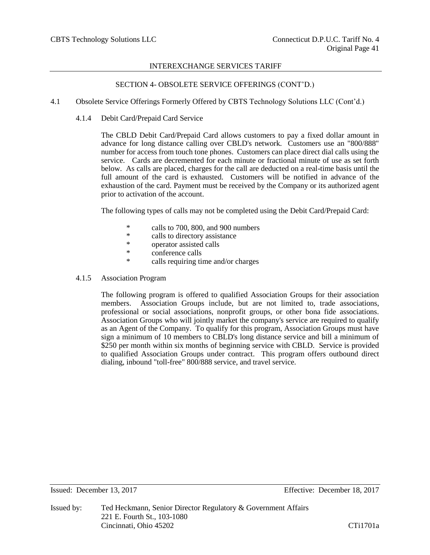# SECTION 4- OBSOLETE SERVICE OFFERINGS (CONT'D.)

- 4.1 Obsolete Service Offerings Formerly Offered by CBTS Technology Solutions LLC (Cont'd.)
	- 4.1.4 Debit Card/Prepaid Card Service

The CBLD Debit Card/Prepaid Card allows customers to pay a fixed dollar amount in advance for long distance calling over CBLD's network. Customers use an "800/888" number for access from touch tone phones. Customers can place direct dial calls using the service. Cards are decremented for each minute or fractional minute of use as set forth below. As calls are placed, charges for the call are deducted on a real-time basis until the full amount of the card is exhausted. Customers will be notified in advance of the exhaustion of the card. Payment must be received by the Company or its authorized agent prior to activation of the account.

The following types of calls may not be completed using the Debit Card/Prepaid Card:

- \* calls to 700, 800, and 900 numbers
- calls to directory assistance
- \* operator assisted calls
- \* conference calls
- \* calls requiring time and/or charges
- 4.1.5 Association Program

The following program is offered to qualified Association Groups for their association members. Association Groups include, but are not limited to, trade associations, professional or social associations, nonprofit groups, or other bona fide associations. Association Groups who will jointly market the company's service are required to qualify as an Agent of the Company. To qualify for this program, Association Groups must have sign a minimum of 10 members to CBLD's long distance service and bill a minimum of \$250 per month within six months of beginning service with CBLD. Service is provided to qualified Association Groups under contract. This program offers outbound direct dialing, inbound "toll-free" 800/888 service, and travel service.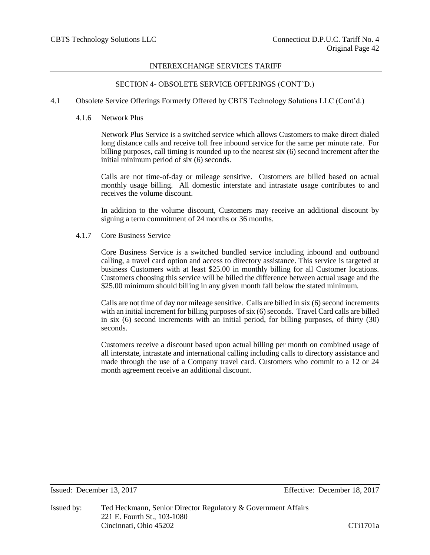## SECTION 4- OBSOLETE SERVICE OFFERINGS (CONT'D.)

- 4.1 Obsolete Service Offerings Formerly Offered by CBTS Technology Solutions LLC (Cont'd.)
	- 4.1.6 Network Plus

Network Plus Service is a switched service which allows Customers to make direct dialed long distance calls and receive toll free inbound service for the same per minute rate. For billing purposes, call timing is rounded up to the nearest six (6) second increment after the initial minimum period of six (6) seconds.

Calls are not time-of-day or mileage sensitive. Customers are billed based on actual monthly usage billing. All domestic interstate and intrastate usage contributes to and receives the volume discount.

In addition to the volume discount, Customers may receive an additional discount by signing a term commitment of 24 months or 36 months.

4.1.7 Core Business Service

Core Business Service is a switched bundled service including inbound and outbound calling, a travel card option and access to directory assistance. This service is targeted at business Customers with at least \$25.00 in monthly billing for all Customer locations. Customers choosing this service will be billed the difference between actual usage and the \$25.00 minimum should billing in any given month fall below the stated minimum.

Calls are not time of day nor mileage sensitive. Calls are billed in six (6) second increments with an initial increment for billing purposes of six (6) seconds. Travel Card calls are billed in six (6) second increments with an initial period, for billing purposes, of thirty (30) seconds.

Customers receive a discount based upon actual billing per month on combined usage of all interstate, intrastate and international calling including calls to directory assistance and made through the use of a Company travel card. Customers who commit to a 12 or 24 month agreement receive an additional discount.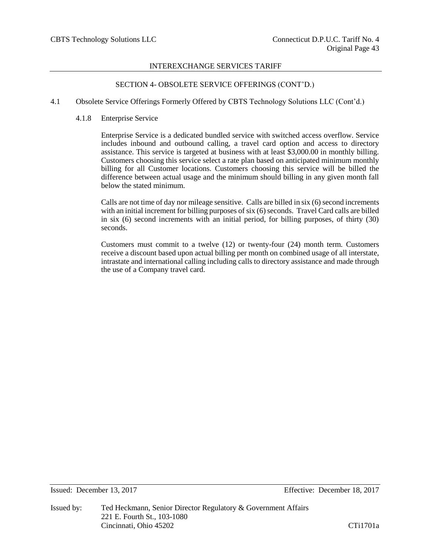# SECTION 4- OBSOLETE SERVICE OFFERINGS (CONT'D.)

## 4.1 Obsolete Service Offerings Formerly Offered by CBTS Technology Solutions LLC (Cont'd.)

4.1.8 Enterprise Service

Enterprise Service is a dedicated bundled service with switched access overflow. Service includes inbound and outbound calling, a travel card option and access to directory assistance. This service is targeted at business with at least \$3,000.00 in monthly billing. Customers choosing this service select a rate plan based on anticipated minimum monthly billing for all Customer locations. Customers choosing this service will be billed the difference between actual usage and the minimum should billing in any given month fall below the stated minimum.

Calls are not time of day nor mileage sensitive. Calls are billed in six (6) second increments with an initial increment for billing purposes of six (6) seconds. Travel Card calls are billed in six (6) second increments with an initial period, for billing purposes, of thirty (30) seconds.

Customers must commit to a twelve (12) or twenty-four (24) month term. Customers receive a discount based upon actual billing per month on combined usage of all interstate, intrastate and international calling including calls to directory assistance and made through the use of a Company travel card.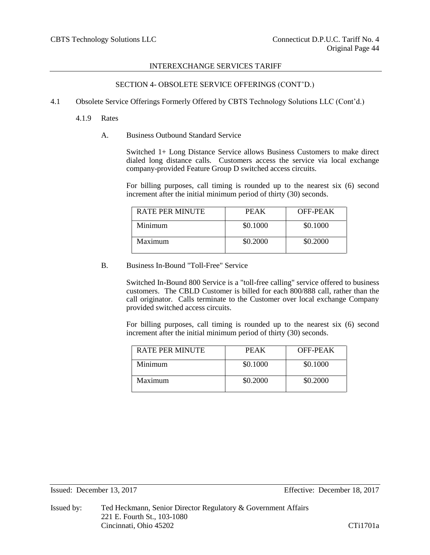# SECTION 4- OBSOLETE SERVICE OFFERINGS (CONT'D.)

- 4.1 Obsolete Service Offerings Formerly Offered by CBTS Technology Solutions LLC (Cont'd.)
	- 4.1.9 Rates
		- A. Business Outbound Standard Service

Switched 1+ Long Distance Service allows Business Customers to make direct dialed long distance calls. Customers access the service via local exchange company-provided Feature Group D switched access circuits.

For billing purposes, call timing is rounded up to the nearest six (6) second increment after the initial minimum period of thirty (30) seconds.

| RATE PER MINUTE | <b>PEAK</b> | OFF-PEAK |
|-----------------|-------------|----------|
| Minimum         | \$0.1000    | \$0.1000 |
| Maximum         | \$0.2000    | \$0.2000 |

B. Business In-Bound "Toll-Free" Service

Switched In-Bound 800 Service is a "toll-free calling" service offered to business customers. The CBLD Customer is billed for each 800/888 call, rather than the call originator. Calls terminate to the Customer over local exchange Company provided switched access circuits.

For billing purposes, call timing is rounded up to the nearest six (6) second increment after the initial minimum period of thirty (30) seconds.

| RATE PER MINUTE | PEAK     | OFF-PEAK |
|-----------------|----------|----------|
| Minimum         | \$0.1000 | \$0.1000 |
| Maximum         | \$0.2000 | \$0.2000 |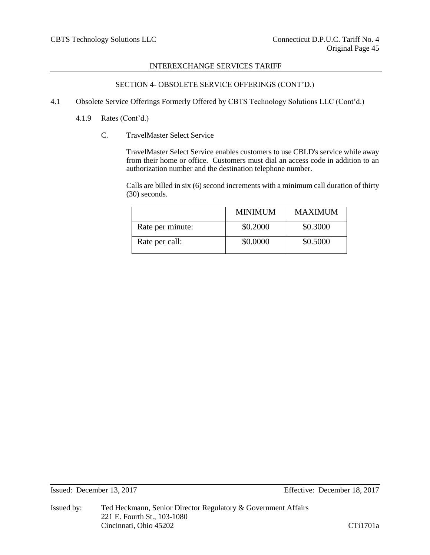# SECTION 4- OBSOLETE SERVICE OFFERINGS (CONT'D.)

- 4.1 Obsolete Service Offerings Formerly Offered by CBTS Technology Solutions LLC (Cont'd.)
	- 4.1.9 Rates (Cont'd.)
		- C. TravelMaster Select Service

TravelMaster Select Service enables customers to use CBLD's service while away from their home or office. Customers must dial an access code in addition to an authorization number and the destination telephone number.

Calls are billed in six (6) second increments with a minimum call duration of thirty (30) seconds.

|                  | <b>MINIMUM</b> | <b>MAXIMUM</b> |
|------------------|----------------|----------------|
| Rate per minute: | \$0.2000       | \$0.3000       |
| Rate per call:   | \$0.0000       | \$0.5000       |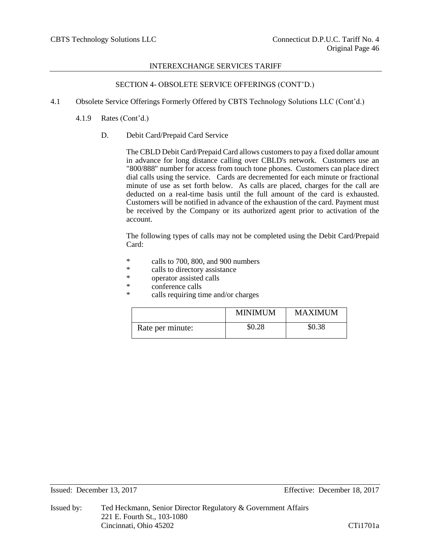# SECTION 4- OBSOLETE SERVICE OFFERINGS (CONT'D.)

- 4.1 Obsolete Service Offerings Formerly Offered by CBTS Technology Solutions LLC (Cont'd.)
	- 4.1.9 Rates (Cont'd.)
		- D. Debit Card/Prepaid Card Service

The CBLD Debit Card/Prepaid Card allows customers to pay a fixed dollar amount in advance for long distance calling over CBLD's network. Customers use an "800/888" number for access from touch tone phones. Customers can place direct dial calls using the service. Cards are decremented for each minute or fractional minute of use as set forth below. As calls are placed, charges for the call are deducted on a real-time basis until the full amount of the card is exhausted. Customers will be notified in advance of the exhaustion of the card. Payment must be received by the Company or its authorized agent prior to activation of the account.

The following types of calls may not be completed using the Debit Card/Prepaid Card:

- \* calls to 700, 800, and 900 numbers
- \* calls to directory assistance
- \* operator assisted calls<br>\* conference calls
- conference calls
- \* calls requiring time and/or charges

|                  | <b>MINIMUM</b> | <b>MAXIMUM</b> |
|------------------|----------------|----------------|
| Rate per minute: | \$0.28         | \$0.38         |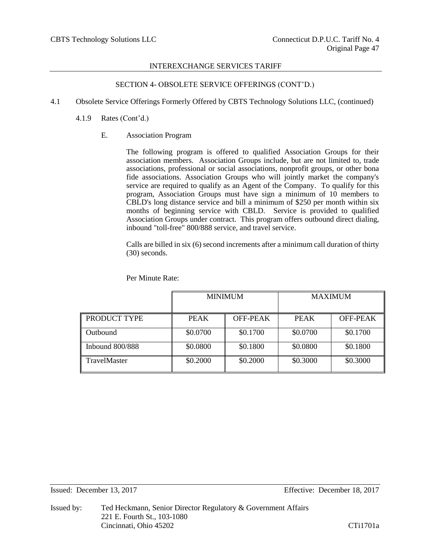# SECTION 4- OBSOLETE SERVICE OFFERINGS (CONT'D.)

- 4.1 Obsolete Service Offerings Formerly Offered by CBTS Technology Solutions LLC, (continued)
	- 4.1.9 Rates (Cont'd.)
		- E. Association Program

The following program is offered to qualified Association Groups for their association members. Association Groups include, but are not limited to, trade associations, professional or social associations, nonprofit groups, or other bona fide associations. Association Groups who will jointly market the company's service are required to qualify as an Agent of the Company. To qualify for this program, Association Groups must have sign a minimum of 10 members to CBLD's long distance service and bill a minimum of \$250 per month within six months of beginning service with CBLD. Service is provided to qualified Association Groups under contract. This program offers outbound direct dialing, inbound "toll-free" 800/888 service, and travel service.

Calls are billed in six (6) second increments after a minimum call duration of thirty (30) seconds.

| Per Minute Rate: |
|------------------|
|------------------|

|                        | <b>MINIMUM</b> |          | <b>MAXIMUM</b> |          |
|------------------------|----------------|----------|----------------|----------|
| PRODUCT TYPE           | <b>PEAK</b>    | OFF-PEAK | <b>PEAK</b>    | OFF-PEAK |
| Outbound               | \$0.0700       | \$0.1700 | \$0.0700       | \$0.1700 |
| <b>Inbound 800/888</b> | \$0.0800       | \$0.1800 | \$0.0800       | \$0.1800 |
| <b>TravelMaster</b>    | \$0.2000       | \$0.2000 | \$0.3000       | \$0.3000 |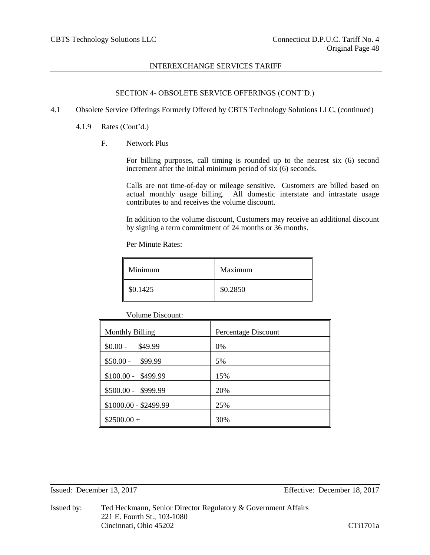# SECTION 4- OBSOLETE SERVICE OFFERINGS (CONT'D.)

- 4.1 Obsolete Service Offerings Formerly Offered by CBTS Technology Solutions LLC, (continued)
	- 4.1.9 Rates (Cont'd.)
		- F. Network Plus

For billing purposes, call timing is rounded up to the nearest six (6) second increment after the initial minimum period of six (6) seconds.

Calls are not time-of-day or mileage sensitive. Customers are billed based on actual monthly usage billing. All domestic interstate and intrastate usage contributes to and receives the volume discount.

In addition to the volume discount, Customers may receive an additional discount by signing a term commitment of 24 months or 36 months.

Per Minute Rates:

| Minimum  | Maximum  |
|----------|----------|
| \$0.1425 | \$0.2850 |

Volume Discount:

| <b>Monthly Billing</b> | Percentage Discount |
|------------------------|---------------------|
| $$0.00 -$<br>\$49.99   | 0%                  |
| $$50.00 -$<br>\$99.99  | 5%                  |
| $$100.00 - $499.99$    | 15%                 |
| \$500.00 - \$999.99    | 20%                 |
| \$1000.00 - \$2499.99  | 25%                 |
| $$2500.00+$            | 30%                 |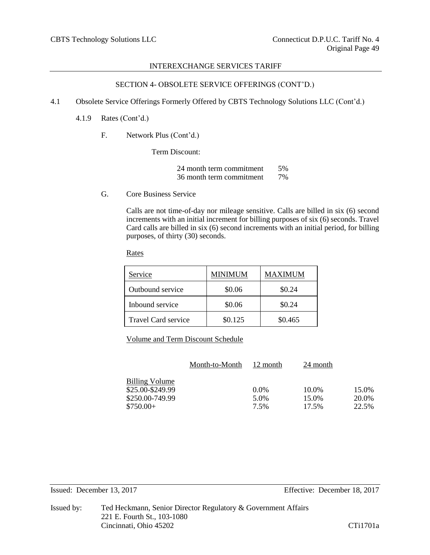# SECTION 4- OBSOLETE SERVICE OFFERINGS (CONT'D.)

- 4.1 Obsolete Service Offerings Formerly Offered by CBTS Technology Solutions LLC (Cont'd.)
	- 4.1.9 Rates (Cont'd.)
		- F. Network Plus (Cont'd.)

Term Discount:

24 month term commitment 5% 36 month term commitment 7%

G. Core Business Service

Calls are not time-of-day nor mileage sensitive. Calls are billed in six (6) second increments with an initial increment for billing purposes of six (6) seconds. Travel Card calls are billed in six (6) second increments with an initial period, for billing purposes, of thirty (30) seconds.

Rates

| Service                    | MINIMUM | MAXIMUM |
|----------------------------|---------|---------|
| Outbound service           | \$0.06  | \$0.24  |
| Inbound service            | \$0.06  | \$0.24  |
| <b>Travel Card service</b> | \$0.125 | \$0.465 |

Volume and Term Discount Schedule

|                  | Month-to-Month | 12 month | 24 month |       |
|------------------|----------------|----------|----------|-------|
| Billing Volume   |                |          |          |       |
| \$25.00-\$249.99 |                | $0.0\%$  | 10.0%    | 15.0% |
| \$250.00-749.99  |                | 5.0%     | 15.0%    | 20.0% |
| $$750.00+$       |                | 7.5%     | 17.5%    | 22.5% |
|                  |                |          |          |       |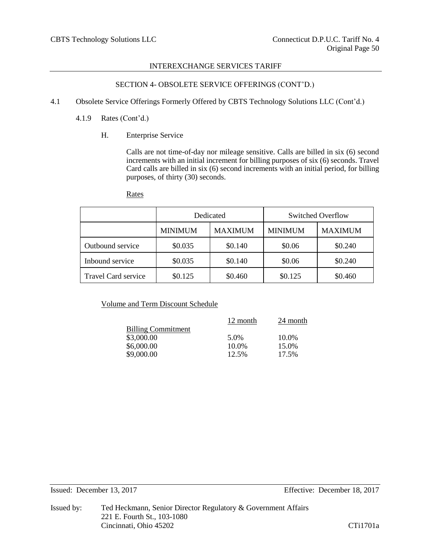# SECTION 4- OBSOLETE SERVICE OFFERINGS (CONT'D.)

- 4.1 Obsolete Service Offerings Formerly Offered by CBTS Technology Solutions LLC (Cont'd.)
	- 4.1.9 Rates (Cont'd.)
		- H. Enterprise Service

Calls are not time-of-day nor mileage sensitive. Calls are billed in six (6) second increments with an initial increment for billing purposes of six (6) seconds. Travel Card calls are billed in six (6) second increments with an initial period, for billing purposes, of thirty (30) seconds.

|                            | Dedicated      |                | Switched Overflow |                |
|----------------------------|----------------|----------------|-------------------|----------------|
|                            | <b>MINIMUM</b> | <b>MAXIMUM</b> | <b>MINIMUM</b>    | <b>MAXIMUM</b> |
| Outbound service           | \$0.035        | \$0.140        | \$0.06            | \$0.240        |
| Inbound service            | \$0.035        | \$0.140        | \$0.06            | \$0.240        |
| <b>Travel Card service</b> | \$0.125        | \$0.460        | \$0.125           | \$0.460        |

# Volume and Term Discount Schedule

|                           | 12 month | 24 month |
|---------------------------|----------|----------|
| <b>Billing Commitment</b> |          |          |
| \$3,000.00                | 5.0%     | 10.0%    |
| \$6,000.00                | 10.0%    | 15.0%    |
| \$9,000.00                | 12.5%    | 17.5%    |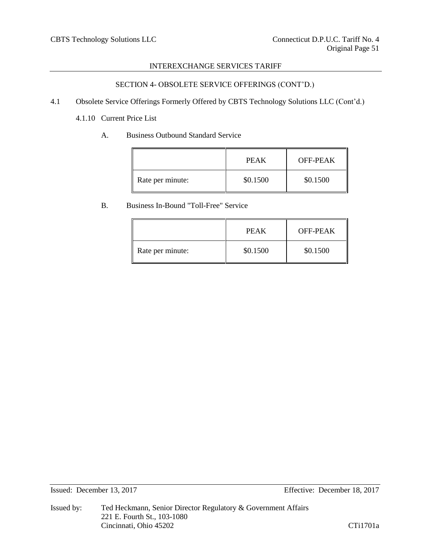# SECTION 4- OBSOLETE SERVICE OFFERINGS (CONT'D.)

4.1 Obsolete Service Offerings Formerly Offered by CBTS Technology Solutions LLC (Cont'd.)

4.1.10 Current Price List

A. Business Outbound Standard Service

|                  | <b>PEAK</b> | OFF-PEAK |
|------------------|-------------|----------|
| Rate per minute: | \$0.1500    | \$0.1500 |

# B. Business In-Bound "Toll-Free" Service

|                  | <b>PEAK</b> | <b>OFF-PEAK</b> |
|------------------|-------------|-----------------|
| Rate per minute: | \$0.1500    | \$0.1500        |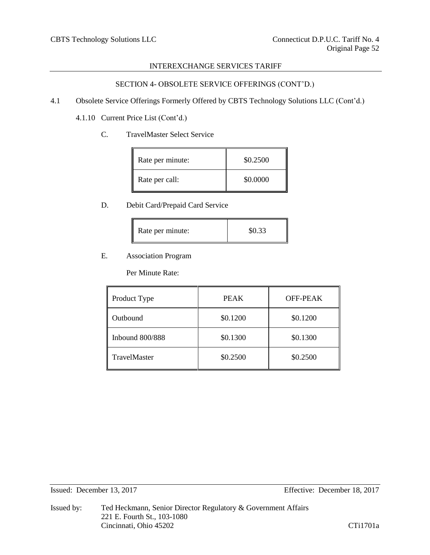# SECTION 4- OBSOLETE SERVICE OFFERINGS (CONT'D.)

- 4.1 Obsolete Service Offerings Formerly Offered by CBTS Technology Solutions LLC (Cont'd.)
	- 4.1.10 Current Price List (Cont'd.)
		- C. TravelMaster Select Service

| Rate per minute: | \$0.2500 |
|------------------|----------|
| Rate per call:   | \$0.0000 |

# D. Debit Card/Prepaid Card Service

| \$0.33 |
|--------|
|        |

# E. Association Program

Per Minute Rate:

| Product Type        | <b>PEAK</b> | OFF-PEAK |
|---------------------|-------------|----------|
| Outbound            | \$0.1200    | \$0.1200 |
| Inbound $800/888$   | \$0.1300    | \$0.1300 |
| <b>TravelMaster</b> | \$0.2500    | \$0.2500 |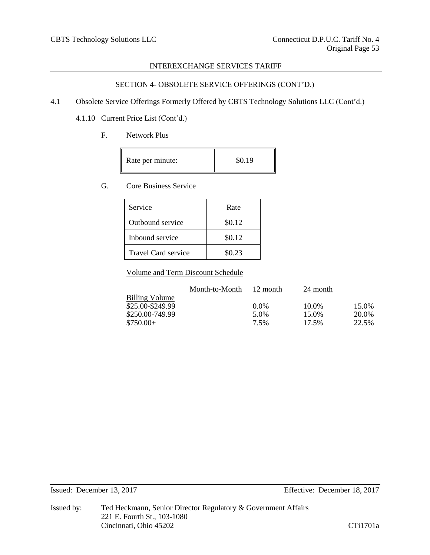# SECTION 4- OBSOLETE SERVICE OFFERINGS (CONT'D.)

4.1 Obsolete Service Offerings Formerly Offered by CBTS Technology Solutions LLC (Cont'd.)

4.1.10 Current Price List (Cont'd.)

F. Network Plus

| Rate per minute: | \$0.19 |
|------------------|--------|
|------------------|--------|

# G. Core Business Service

| Service             | Rate   |
|---------------------|--------|
| Outbound service    | \$0.12 |
| Inbound service     | \$0.12 |
| Travel Card service | \$0.23 |

Volume and Term Discount Schedule

|                       | Month-to-Month | 12 month | 24 month |       |
|-----------------------|----------------|----------|----------|-------|
| <b>Billing Volume</b> |                |          |          |       |
| \$25.00-\$249.99      |                | $0.0\%$  | 10.0%    | 15.0% |
| \$250.00-749.99       |                | 5.0%     | 15.0%    | 20.0% |
| $$750.00+$            |                | 7.5%     | 17.5%    | 22.5% |